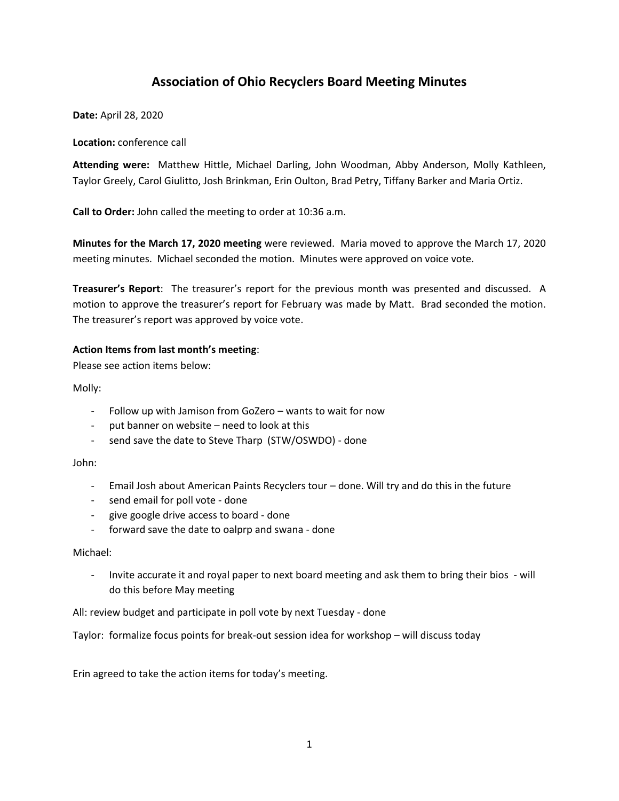# **Association of Ohio Recyclers Board Meeting Minutes**

**Date:** April 28, 2020

**Location:** conference call

**Attending were:** Matthew Hittle, Michael Darling, John Woodman, Abby Anderson, Molly Kathleen, Taylor Greely, Carol Giulitto, Josh Brinkman, Erin Oulton, Brad Petry, Tiffany Barker and Maria Ortiz.

**Call to Order:** John called the meeting to order at 10:36 a.m.

**Minutes for the March 17, 2020 meeting** were reviewed. Maria moved to approve the March 17, 2020 meeting minutes. Michael seconded the motion. Minutes were approved on voice vote.

**Treasurer's Report**: The treasurer's report for the previous month was presented and discussed. A motion to approve the treasurer's report for February was made by Matt. Brad seconded the motion. The treasurer's report was approved by voice vote.

# **Action Items from last month's meeting**:

Please see action items below:

Molly:

- Follow up with Jamison from GoZero wants to wait for now
- put banner on website need to look at this
- send save the date to Steve Tharp (STW/OSWDO) done

John:

- Email Josh about American Paints Recyclers tour done. Will try and do this in the future
- send email for poll vote done
- give google drive access to board done
- forward save the date to oalprp and swana done

Michael:

- Invite accurate it and royal paper to next board meeting and ask them to bring their bios - will do this before May meeting

All: review budget and participate in poll vote by next Tuesday - done

Taylor: formalize focus points for break-out session idea for workshop – will discuss today

Erin agreed to take the action items for today's meeting.